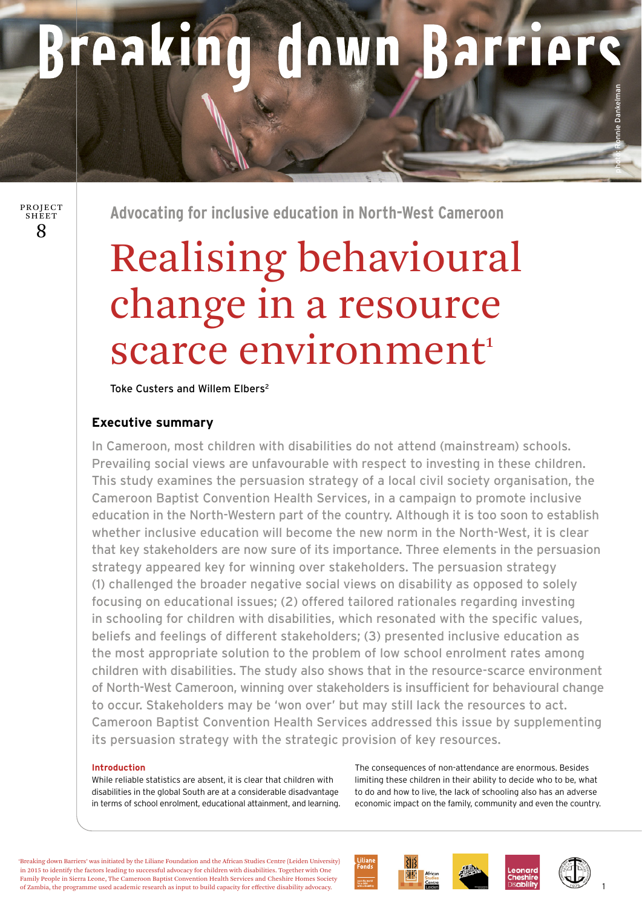# Breaking down Barriers

8 PROJECT SHEET

**Advocating for inclusive education in North-West Cameroon** 

## Realising behavioural change in a resource scarce environment<sup>1</sup>

Toke Custers and Willem Elbers2

### **Executive summary**

In Cameroon, most children with disabilities do not attend (mainstream) schools. Prevailing social views are unfavourable with respect to investing in these children. This study examines the persuasion strategy of a local civil society organisation, the Cameroon Baptist Convention Health Services, in a campaign to promote inclusive education in the North-Western part of the country. Although it is too soon to establish whether inclusive education will become the new norm in the North-West, it is clear that key stakeholders are now sure of its importance. Three elements in the persuasion strategy appeared key for winning over stakeholders. The persuasion strategy (1) challenged the broader negative social views on disability as opposed to solely focusing on educational issues; (2) offered tailored rationales regarding investing in schooling for children with disabilities, which resonated with the specific values, beliefs and feelings of different stakeholders; (3) presented inclusive education as the most appropriate solution to the problem of low school enrolment rates among children with disabilities. The study also shows that in the resource-scarce environment of North-West Cameroon, winning over stakeholders is insufficient for behavioural change to occur. Stakeholders may be 'won over' but may still lack the resources to act. Cameroon Baptist Convention Health Services addressed this issue by supplementing its persuasion strategy with the strategic provision of key resources.

#### **Introduction**

While reliable statistics are absent, it is clear that children with disabilities in the global South are at a considerable disadvantage in terms of school enrolment, educational attainment, and learning. The consequences of non-attendance are enormous. Besides limiting these children in their ability to decide who to be, what to do and how to live, the lack of schooling also has an adverse economic impact on the family, community and even the country.

'Breaking down Barriers' was initiated by the Liliane Foundation and the African Studies Centre (Leiden University) in 2015 to identify the factors leading to successful advocacy for children with disabilities. Together with One Family People in Sierra Leone, The Cameroon Baptist Convention Health Services and Cheshire Homes Society of Zambia, the programme used academic research as input to build capacity for effective disability advocacy.



1

photo: Ronnie Dankelman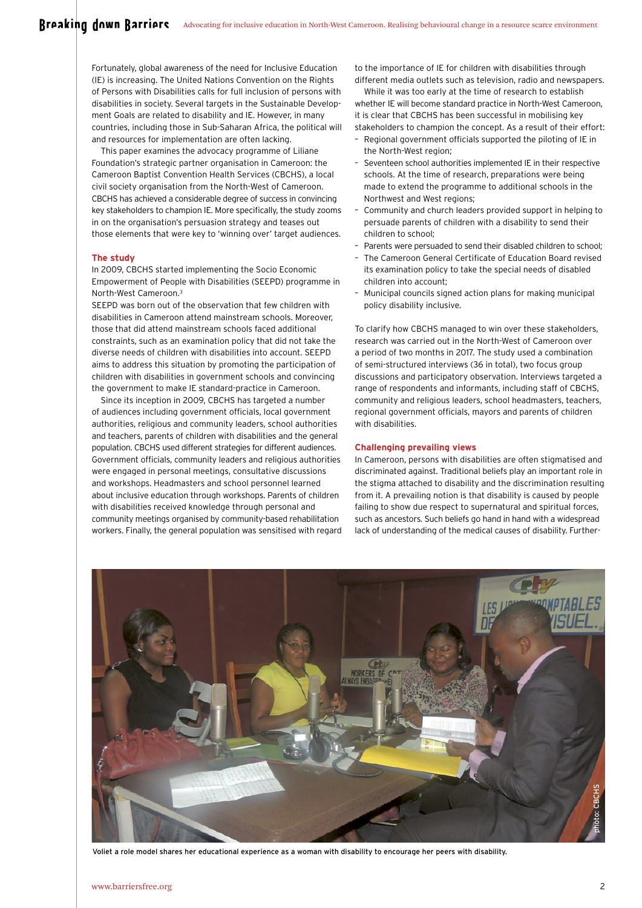Fortunately, global awareness of the need for Inclusive Education (IE) is increasing. The United Nations Convention on the Rights of Persons with Disabilities calls for full inclusion of persons with disabilities in society. Several targets in the Sustainable Development Goals are related to disability and IE. However, in many countries, including those in Sub-Saharan Africa, the political will and resources for implementation are often lacking.

This paper examines the advocacy programme of Liliane Foundation's strategic partner organisation in Cameroon: the Cameroon Baptist Convention Health Services (CBCHS), a local civil society organisation from the North-West of Cameroon. CBCHS has achieved a considerable degree of success in convincing key stakeholders to champion IE. More specifically, the study zooms in on the organisation's persuasion strategy and teases out those elements that were key to 'winning over' target audiences.

#### **The study**

In 2009, CBCHS started implementing the Socio Economic Empowerment of People with Disabilities (SEEPD) programme in North-West Cameroon.3

SEEPD was born out of the observation that few children with disabilities in Cameroon attend mainstream schools. Moreover, those that did attend mainstream schools faced additional constraints, such as an examination policy that did not take the diverse needs of children with disabilities into account. SEEPD aims to address this situation by promoting the participation of children with disabilities in government schools and convincing the government to make IE standard-practice in Cameroon.

Since its inception in 2009, CBCHS has targeted a number of audiences including government officials, local government authorities, religious and community leaders, school authorities and teachers, parents of children with disabilities and the general population. CBCHS used different strategies for different audiences. Government officials, community leaders and religious authorities were engaged in personal meetings, consultative discussions and workshops. Headmasters and school personnel learned about inclusive education through workshops. Parents of children with disabilities received knowledge through personal and community meetings organised by community-based rehabilitation workers. Finally, the general population was sensitised with regard to the importance of IE for children with disabilities through different media outlets such as television, radio and newspapers.

While it was too early at the time of research to establish whether IE will become standard practice in North-West Cameroon, it is clear that CBCHS has been successful in mobilising key stakeholders to champion the concept. As a result of their effort:

- Regional government officials supported the piloting of IE in the North-West region;
- Seventeen school authorities implemented IE in their respective schools. At the time of research, preparations were being made to extend the programme to additional schools in the Northwest and West regions;
- Community and church leaders provided support in helping to persuade parents of children with a disability to send their children to school;
- Parents were persuaded to send their disabled children to school;
- The Cameroon General Certificate of Education Board revised its examination policy to take the special needs of disabled children into account;
- Municipal councils signed action plans for making municipal policy disability inclusive.

To clarify how CBCHS managed to win over these stakeholders, research was carried out in the North-West of Cameroon over a period of two months in 2017. The study used a combination of semi-structured interviews (36 in total), two focus group discussions and participatory observation. Interviews targeted a range of respondents and informants, including staff of CBCHS, community and religious leaders, school headmasters, teachers, regional government officials, mayors and parents of children with disabilities.

#### **Challenging prevailing views**

In Cameroon, persons with disabilities are often stigmatised and discriminated against. Traditional beliefs play an important role in the stigma attached to disability and the discrimination resulting from it. A prevailing notion is that disability is caused by people failing to show due respect to supernatural and spiritual forces, such as ancestors. Such beliefs go hand in hand with a widespread lack of understanding of the medical causes of disability. Further-

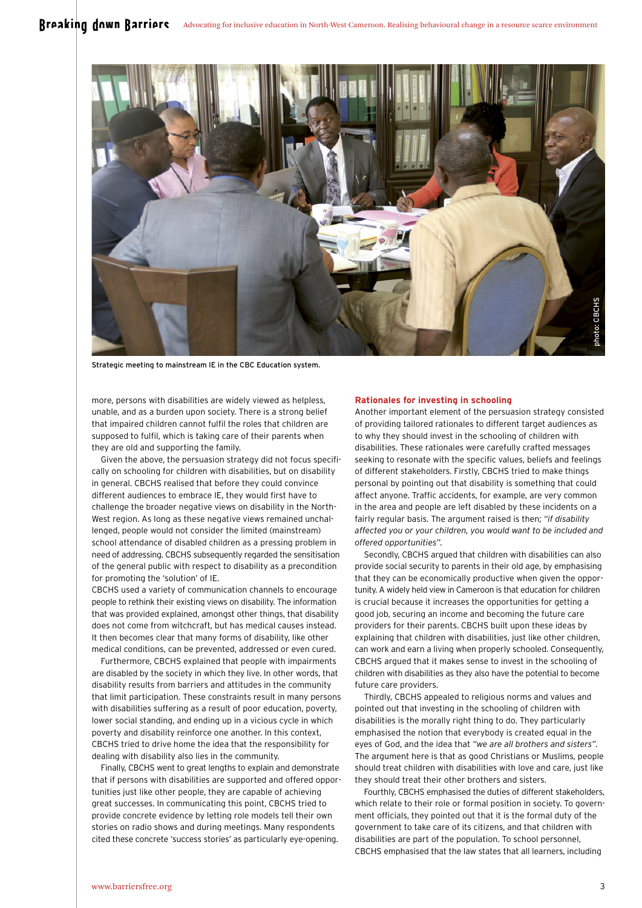

Strategic meeting to mainstream IE in the CBC Education system.

more, persons with disabilities are widely viewed as helpless, unable, and as a burden upon society. There is a strong belief that impaired children cannot fulfil the roles that children are supposed to fulfil, which is taking care of their parents when they are old and supporting the family.

Given the above, the persuasion strategy did not focus specifically on schooling for children with disabilities, but on disability in general. CBCHS realised that before they could convince different audiences to embrace IE, they would first have to challenge the broader negative views on disability in the North-West region. As long as these negative views remained unchallenged, people would not consider the limited (mainstream) school attendance of disabled children as a pressing problem in need of addressing. CBCHS subsequently regarded the sensitisation of the general public with respect to disability as a precondition for promoting the 'solution' of IE.

CBCHS used a variety of communication channels to encourage people to rethink their existing views on disability. The information that was provided explained, amongst other things, that disability does not come from witchcraft, but has medical causes instead. It then becomes clear that many forms of disability, like other medical conditions, can be prevented, addressed or even cured.

Furthermore, CBCHS explained that people with impairments are disabled by the society in which they live. In other words, that disability results from barriers and attitudes in the community that limit participation. These constraints result in many persons with disabilities suffering as a result of poor education, poverty, lower social standing, and ending up in a vicious cycle in which poverty and disability reinforce one another. In this context, CBCHS tried to drive home the idea that the responsibility for dealing with disability also lies in the community.

Finally, CBCHS went to great lengths to explain and demonstrate that if persons with disabilities are supported and offered opportunities just like other people, they are capable of achieving great successes. In communicating this point, CBCHS tried to provide concrete evidence by letting role models tell their own stories on radio shows and during meetings. Many respondents cited these concrete 'success stories' as particularly eye-opening.

#### **Rationales for investing in schooling**

Another important element of the persuasion strategy consisted of providing tailored rationales to different target audiences as to why they should invest in the schooling of children with disabilities. These rationales were carefully crafted messages seeking to resonate with the specific values, beliefs and feelings of different stakeholders. Firstly, CBCHS tried to make things personal by pointing out that disability is something that could affect anyone. Traffic accidents, for example, are very common in the area and people are left disabled by these incidents on a fairly regular basis. The argument raised is then; *"if disability affected you or your children, you would want to be included and offered opportunities".* 

Secondly, CBCHS argued that children with disabilities can also provide social security to parents in their old age, by emphasising that they can be economically productive when given the opportunity. A widely held view in Cameroon is that education for children is crucial because it increases the opportunities for getting a good job, securing an income and becoming the future care providers for their parents. CBCHS built upon these ideas by explaining that children with disabilities, just like other children, can work and earn a living when properly schooled. Consequently, CBCHS argued that it makes sense to invest in the schooling of children with disabilities as they also have the potential to become future care providers.

Thirdly, CBCHS appealed to religious norms and values and pointed out that investing in the schooling of children with disabilities is the morally right thing to do. They particularly emphasised the notion that everybody is created equal in the eyes of God, and the idea that *"we are all brothers and sisters".* The argument here is that as good Christians or Muslims, people should treat children with disabilities with love and care, just like they should treat their other brothers and sisters.

Fourthly, CBCHS emphasised the duties of different stakeholders, which relate to their role or formal position in society. To government officials, they pointed out that it is the formal duty of the government to take care of its citizens, and that children with disabilities are part of the population. To school personnel, CBCHS emphasised that the law states that all learners, including